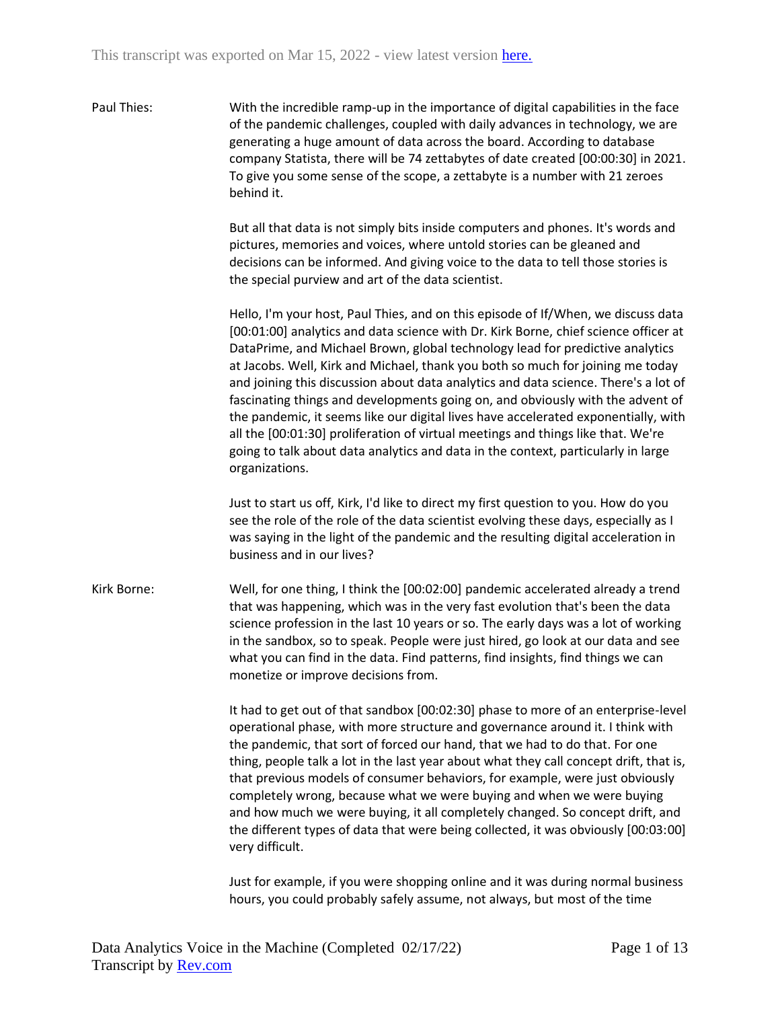Paul Thies: With the incredible ramp-up in the importance of digital capabilities in the face of the pandemic challenges, coupled with daily advances in technology, we are generating a huge amount of data across the board. According to database company Statista, there will be 74 zettabytes of date created [00:00:30] in 2021. To give you some sense of the scope, a zettabyte is a number with 21 zeroes behind it.

> But all that data is not simply bits inside computers and phones. It's words and pictures, memories and voices, where untold stories can be gleaned and decisions can be informed. And giving voice to the data to tell those stories is the special purview and art of the data scientist.

Hello, I'm your host, Paul Thies, and on this episode of If/When, we discuss data [00:01:00] analytics and data science with Dr. Kirk Borne, chief science officer at DataPrime, and Michael Brown, global technology lead for predictive analytics at Jacobs. Well, Kirk and Michael, thank you both so much for joining me today and joining this discussion about data analytics and data science. There's a lot of fascinating things and developments going on, and obviously with the advent of the pandemic, it seems like our digital lives have accelerated exponentially, with all the [00:01:30] proliferation of virtual meetings and things like that. We're going to talk about data analytics and data in the context, particularly in large organizations.

Just to start us off, Kirk, I'd like to direct my first question to you. How do you see the role of the role of the data scientist evolving these days, especially as I was saying in the light of the pandemic and the resulting digital acceleration in business and in our lives?

Kirk Borne: Well, for one thing, I think the [00:02:00] pandemic accelerated already a trend that was happening, which was in the very fast evolution that's been the data science profession in the last 10 years or so. The early days was a lot of working in the sandbox, so to speak. People were just hired, go look at our data and see what you can find in the data. Find patterns, find insights, find things we can monetize or improve decisions from.

> It had to get out of that sandbox [00:02:30] phase to more of an enterprise-level operational phase, with more structure and governance around it. I think with the pandemic, that sort of forced our hand, that we had to do that. For one thing, people talk a lot in the last year about what they call concept drift, that is, that previous models of consumer behaviors, for example, were just obviously completely wrong, because what we were buying and when we were buying and how much we were buying, it all completely changed. So concept drift, and the different types of data that were being collected, it was obviously [00:03:00] very difficult.

Just for example, if you were shopping online and it was during normal business hours, you could probably safely assume, not always, but most of the time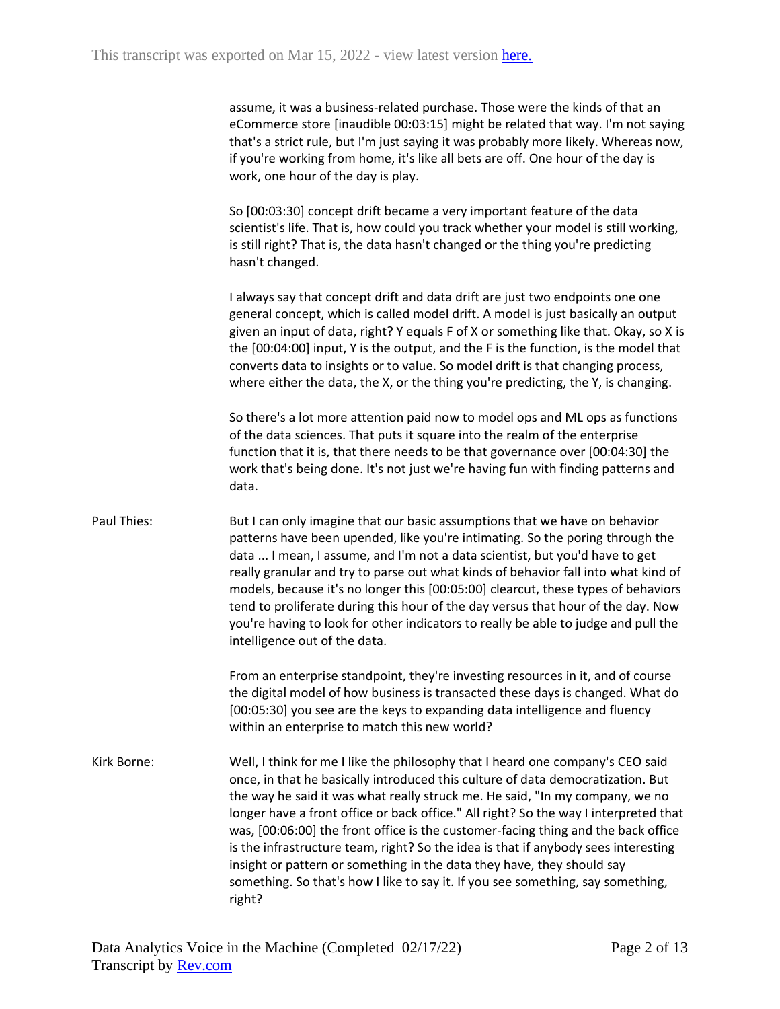assume, it was a business-related purchase. Those were the kinds of that an eCommerce store [inaudible 00:03:15] might be related that way. I'm not saying that's a strict rule, but I'm just saying it was probably more likely. Whereas now, if you're working from home, it's like all bets are off. One hour of the day is work, one hour of the day is play.

So [00:03:30] concept drift became a very important feature of the data scientist's life. That is, how could you track whether your model is still working, is still right? That is, the data hasn't changed or the thing you're predicting hasn't changed.

I always say that concept drift and data drift are just two endpoints one one general concept, which is called model drift. A model is just basically an output given an input of data, right? Y equals F of X or something like that. Okay, so X is the [00:04:00] input, Y is the output, and the F is the function, is the model that converts data to insights or to value. So model drift is that changing process, where either the data, the X, or the thing you're predicting, the Y, is changing.

So there's a lot more attention paid now to model ops and ML ops as functions of the data sciences. That puts it square into the realm of the enterprise function that it is, that there needs to be that governance over [00:04:30] the work that's being done. It's not just we're having fun with finding patterns and data.

Paul Thies: But I can only imagine that our basic assumptions that we have on behavior patterns have been upended, like you're intimating. So the poring through the data ... I mean, I assume, and I'm not a data scientist, but you'd have to get really granular and try to parse out what kinds of behavior fall into what kind of models, because it's no longer this [00:05:00] clearcut, these types of behaviors tend to proliferate during this hour of the day versus that hour of the day. Now you're having to look for other indicators to really be able to judge and pull the intelligence out of the data.

> From an enterprise standpoint, they're investing resources in it, and of course the digital model of how business is transacted these days is changed. What do [00:05:30] you see are the keys to expanding data intelligence and fluency within an enterprise to match this new world?

Kirk Borne: Well, I think for me I like the philosophy that I heard one company's CEO said once, in that he basically introduced this culture of data democratization. But the way he said it was what really struck me. He said, "In my company, we no longer have a front office or back office." All right? So the way I interpreted that was, [00:06:00] the front office is the customer-facing thing and the back office is the infrastructure team, right? So the idea is that if anybody sees interesting insight or pattern or something in the data they have, they should say something. So that's how I like to say it. If you see something, say something, right?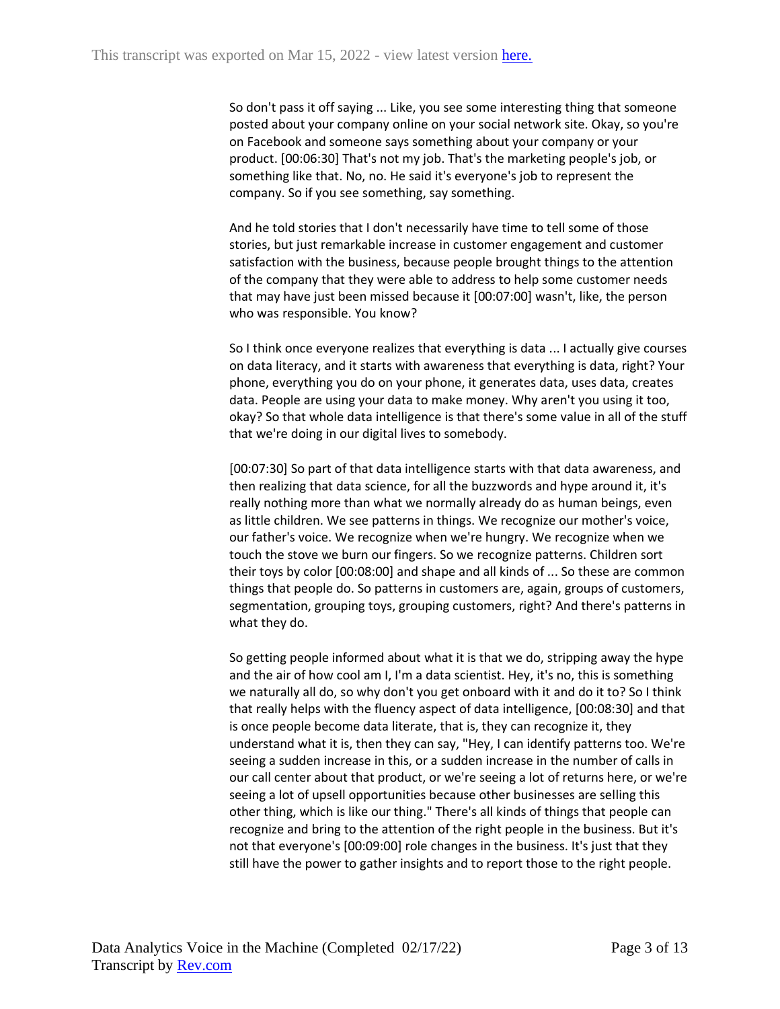So don't pass it off saying ... Like, you see some interesting thing that someone posted about your company online on your social network site. Okay, so you're on Facebook and someone says something about your company or your product. [00:06:30] That's not my job. That's the marketing people's job, or something like that. No, no. He said it's everyone's job to represent the company. So if you see something, say something.

And he told stories that I don't necessarily have time to tell some of those stories, but just remarkable increase in customer engagement and customer satisfaction with the business, because people brought things to the attention of the company that they were able to address to help some customer needs that may have just been missed because it [00:07:00] wasn't, like, the person who was responsible. You know?

So I think once everyone realizes that everything is data ... I actually give courses on data literacy, and it starts with awareness that everything is data, right? Your phone, everything you do on your phone, it generates data, uses data, creates data. People are using your data to make money. Why aren't you using it too, okay? So that whole data intelligence is that there's some value in all of the stuff that we're doing in our digital lives to somebody.

[00:07:30] So part of that data intelligence starts with that data awareness, and then realizing that data science, for all the buzzwords and hype around it, it's really nothing more than what we normally already do as human beings, even as little children. We see patterns in things. We recognize our mother's voice, our father's voice. We recognize when we're hungry. We recognize when we touch the stove we burn our fingers. So we recognize patterns. Children sort their toys by color [00:08:00] and shape and all kinds of ... So these are common things that people do. So patterns in customers are, again, groups of customers, segmentation, grouping toys, grouping customers, right? And there's patterns in what they do.

So getting people informed about what it is that we do, stripping away the hype and the air of how cool am I, I'm a data scientist. Hey, it's no, this is something we naturally all do, so why don't you get onboard with it and do it to? So I think that really helps with the fluency aspect of data intelligence, [00:08:30] and that is once people become data literate, that is, they can recognize it, they understand what it is, then they can say, "Hey, I can identify patterns too. We're seeing a sudden increase in this, or a sudden increase in the number of calls in our call center about that product, or we're seeing a lot of returns here, or we're seeing a lot of upsell opportunities because other businesses are selling this other thing, which is like our thing." There's all kinds of things that people can recognize and bring to the attention of the right people in the business. But it's not that everyone's [00:09:00] role changes in the business. It's just that they still have the power to gather insights and to report those to the right people.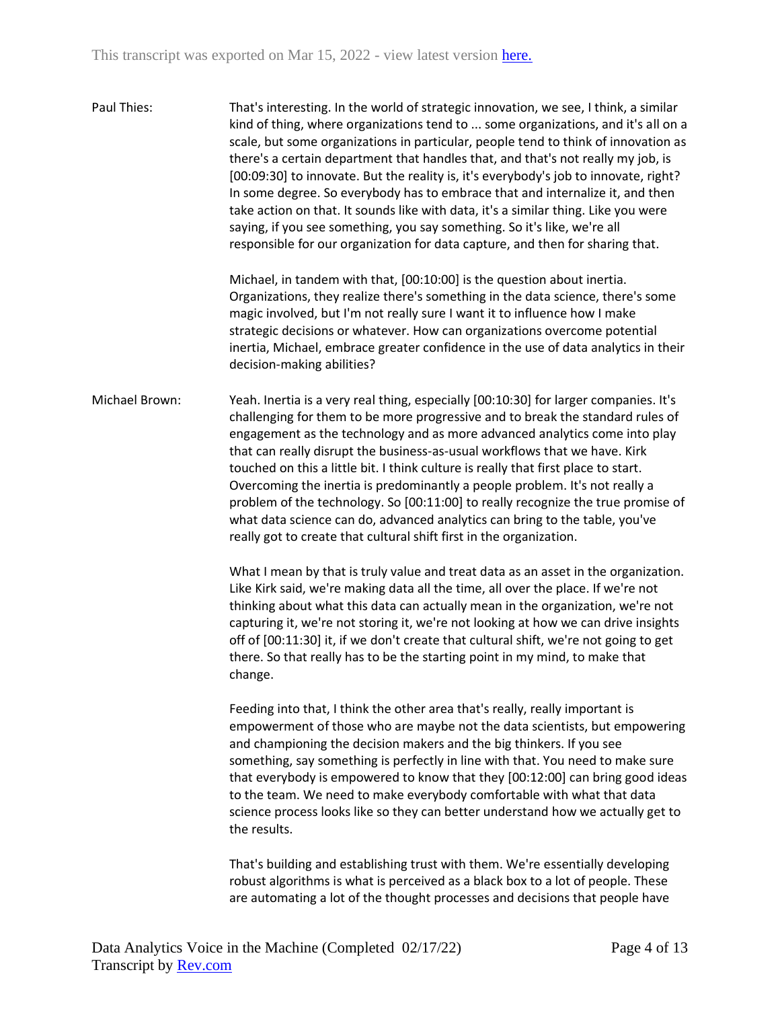| Paul Thies:    | That's interesting. In the world of strategic innovation, we see, I think, a similar<br>kind of thing, where organizations tend to  some organizations, and it's all on a<br>scale, but some organizations in particular, people tend to think of innovation as<br>there's a certain department that handles that, and that's not really my job, is<br>[00:09:30] to innovate. But the reality is, it's everybody's job to innovate, right?<br>In some degree. So everybody has to embrace that and internalize it, and then<br>take action on that. It sounds like with data, it's a similar thing. Like you were<br>saying, if you see something, you say something. So it's like, we're all<br>responsible for our organization for data capture, and then for sharing that. |
|----------------|---------------------------------------------------------------------------------------------------------------------------------------------------------------------------------------------------------------------------------------------------------------------------------------------------------------------------------------------------------------------------------------------------------------------------------------------------------------------------------------------------------------------------------------------------------------------------------------------------------------------------------------------------------------------------------------------------------------------------------------------------------------------------------|
|                | Michael, in tandem with that, [00:10:00] is the question about inertia.<br>Organizations, they realize there's something in the data science, there's some<br>magic involved, but I'm not really sure I want it to influence how I make<br>strategic decisions or whatever. How can organizations overcome potential<br>inertia, Michael, embrace greater confidence in the use of data analytics in their<br>decision-making abilities?                                                                                                                                                                                                                                                                                                                                        |
| Michael Brown: | Yeah. Inertia is a very real thing, especially [00:10:30] for larger companies. It's<br>challenging for them to be more progressive and to break the standard rules of<br>engagement as the technology and as more advanced analytics come into play<br>that can really disrupt the business-as-usual workflows that we have. Kirk<br>touched on this a little bit. I think culture is really that first place to start.<br>Overcoming the inertia is predominantly a people problem. It's not really a<br>problem of the technology. So [00:11:00] to really recognize the true promise of<br>what data science can do, advanced analytics can bring to the table, you've<br>really got to create that cultural shift first in the organization.                               |
|                | What I mean by that is truly value and treat data as an asset in the organization.<br>Like Kirk said, we're making data all the time, all over the place. If we're not<br>thinking about what this data can actually mean in the organization, we're not<br>capturing it, we're not storing it, we're not looking at how we can drive insights<br>off of [00:11:30] it, if we don't create that cultural shift, we're not going to get<br>there. So that really has to be the starting point in my mind, to make that<br>change.                                                                                                                                                                                                                                                |
|                | Feeding into that, I think the other area that's really, really important is<br>empowerment of those who are maybe not the data scientists, but empowering<br>and championing the decision makers and the big thinkers. If you see<br>something, say something is perfectly in line with that. You need to make sure<br>that everybody is empowered to know that they [00:12:00] can bring good ideas<br>to the team. We need to make everybody comfortable with what that data<br>science process looks like so they can better understand how we actually get to<br>the results.                                                                                                                                                                                              |
|                | That's building and establishing trust with them. We're essentially developing<br>robust algorithms is what is perceived as a black box to a lot of people. These<br>are automating a lot of the thought processes and decisions that people have                                                                                                                                                                                                                                                                                                                                                                                                                                                                                                                               |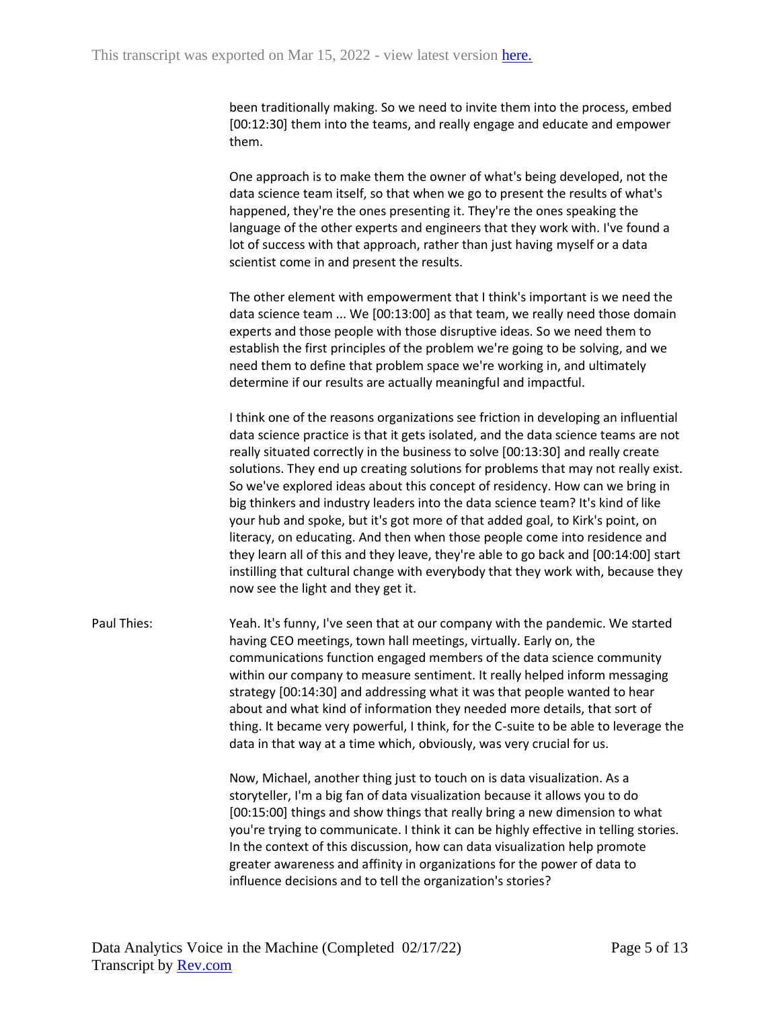been traditionally making. So we need to invite them into the process, embed [00:12:30] them into the teams, and really engage and educate and empower them.

One approach is to make them the owner of what's being developed, not the data science team itself, so that when we go to present the results of what's happened, they're the ones presenting it. They're the ones speaking the language of the other experts and engineers that they work with. I've found a lot of success with that approach, rather than just having myself or a data scientist come in and present the results.

The other element with empowerment that I think's important is we need the data science team ... We [00:13:00] as that team, we really need those domain experts and those people with those disruptive ideas. So we need them to establish the first principles of the problem we're going to be solving, and we need them to define that problem space we're working in, and ultimately determine if our results are actually meaningful and impactful.

I think one of the reasons organizations see friction in developing an influential data science practice is that it gets isolated, and the data science teams are not really situated correctly in the business to solve [00:13:30] and really create solutions. They end up creating solutions for problems that may not really exist. So we've explored ideas about this concept of residency. How can we bring in big thinkers and industry leaders into the data science team? It's kind of like your hub and spoke, but it's got more of that added goal, to Kirk's point, on literacy, on educating. And then when those people come into residence and they learn all of this and they leave, they're able to go back and [00:14:00] start instilling that cultural change with everybody that they work with, because they now see the light and they get it.

Paul Thies: Yeah. It's funny, I've seen that at our company with the pandemic. We started having CEO meetings, town hall meetings, virtually. Early on, the communications function engaged members of the data science community within our company to measure sentiment. It really helped inform messaging strategy [00:14:30] and addressing what it was that people wanted to hear about and what kind of information they needed more details, that sort of thing. It became very powerful, I think, for the C-suite to be able to leverage the data in that way at a time which, obviously, was very crucial for us.

> Now, Michael, another thing just to touch on is data visualization. As a storyteller, I'm a big fan of data visualization because it allows you to do [00:15:00] things and show things that really bring a new dimension to what you're trying to communicate. I think it can be highly effective in telling stories. In the context of this discussion, how can data visualization help promote greater awareness and affinity in organizations for the power of data to influence decisions and to tell the organization's stories?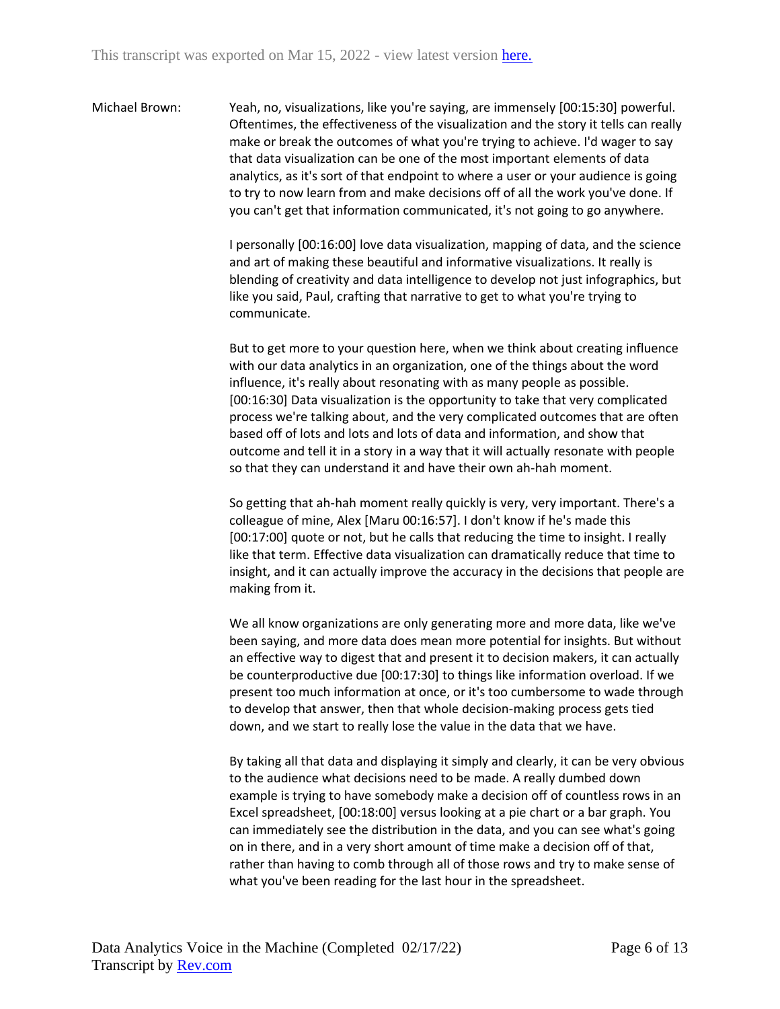Michael Brown: Yeah, no, visualizations, like you're saying, are immensely [00:15:30] powerful. Oftentimes, the effectiveness of the visualization and the story it tells can really make or break the outcomes of what you're trying to achieve. I'd wager to say that data visualization can be one of the most important elements of data analytics, as it's sort of that endpoint to where a user or your audience is going to try to now learn from and make decisions off of all the work you've done. If you can't get that information communicated, it's not going to go anywhere.

> I personally [00:16:00] love data visualization, mapping of data, and the science and art of making these beautiful and informative visualizations. It really is blending of creativity and data intelligence to develop not just infographics, but like you said, Paul, crafting that narrative to get to what you're trying to communicate.

> But to get more to your question here, when we think about creating influence with our data analytics in an organization, one of the things about the word influence, it's really about resonating with as many people as possible. [00:16:30] Data visualization is the opportunity to take that very complicated process we're talking about, and the very complicated outcomes that are often based off of lots and lots and lots of data and information, and show that outcome and tell it in a story in a way that it will actually resonate with people so that they can understand it and have their own ah-hah moment.

So getting that ah-hah moment really quickly is very, very important. There's a colleague of mine, Alex [Maru 00:16:57]. I don't know if he's made this [00:17:00] quote or not, but he calls that reducing the time to insight. I really like that term. Effective data visualization can dramatically reduce that time to insight, and it can actually improve the accuracy in the decisions that people are making from it.

We all know organizations are only generating more and more data, like we've been saying, and more data does mean more potential for insights. But without an effective way to digest that and present it to decision makers, it can actually be counterproductive due [00:17:30] to things like information overload. If we present too much information at once, or it's too cumbersome to wade through to develop that answer, then that whole decision-making process gets tied down, and we start to really lose the value in the data that we have.

By taking all that data and displaying it simply and clearly, it can be very obvious to the audience what decisions need to be made. A really dumbed down example is trying to have somebody make a decision off of countless rows in an Excel spreadsheet, [00:18:00] versus looking at a pie chart or a bar graph. You can immediately see the distribution in the data, and you can see what's going on in there, and in a very short amount of time make a decision off of that, rather than having to comb through all of those rows and try to make sense of what you've been reading for the last hour in the spreadsheet.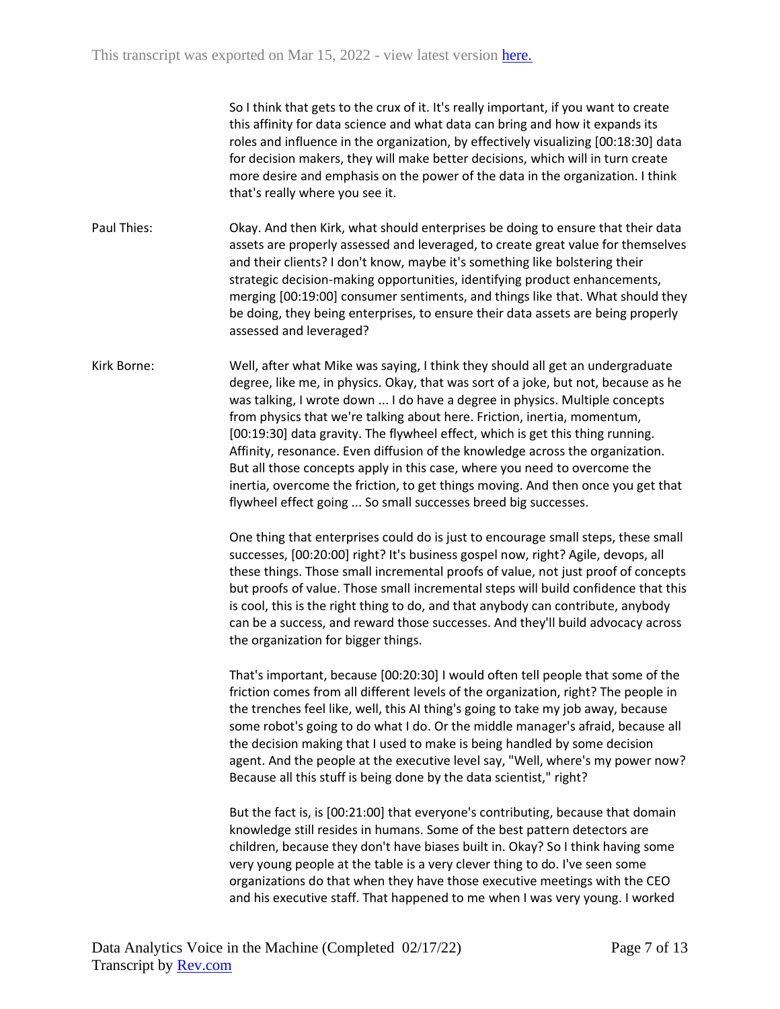So I think that gets to the crux of it. It's really important, if you want to create this affinity for data science and what data can bring and how it expands its roles and influence in the organization, by effectively visualizing [00:18:30] data for decision makers, they will make better decisions, which will in turn create more desire and emphasis on the power of the data in the organization. I think that's really where you see it.

Paul Thies: Okay. And then Kirk, what should enterprises be doing to ensure that their data assets are properly assessed and leveraged, to create great value for themselves and their clients? I don't know, maybe it's something like bolstering their strategic decision-making opportunities, identifying product enhancements, merging [00:19:00] consumer sentiments, and things like that. What should they be doing, they being enterprises, to ensure their data assets are being properly assessed and leveraged?

Kirk Borne: Well, after what Mike was saying, I think they should all get an undergraduate degree, like me, in physics. Okay, that was sort of a joke, but not, because as he was talking, I wrote down ... I do have a degree in physics. Multiple concepts from physics that we're talking about here. Friction, inertia, momentum, [00:19:30] data gravity. The flywheel effect, which is get this thing running. Affinity, resonance. Even diffusion of the knowledge across the organization. But all those concepts apply in this case, where you need to overcome the inertia, overcome the friction, to get things moving. And then once you get that flywheel effect going ... So small successes breed big successes.

> One thing that enterprises could do is just to encourage small steps, these small successes, [00:20:00] right? It's business gospel now, right? Agile, devops, all these things. Those small incremental proofs of value, not just proof of concepts but proofs of value. Those small incremental steps will build confidence that this is cool, this is the right thing to do, and that anybody can contribute, anybody can be a success, and reward those successes. And they'll build advocacy across the organization for bigger things.

> That's important, because [00:20:30] I would often tell people that some of the friction comes from all different levels of the organization, right? The people in the trenches feel like, well, this AI thing's going to take my job away, because some robot's going to do what I do. Or the middle manager's afraid, because all the decision making that I used to make is being handled by some decision agent. And the people at the executive level say, "Well, where's my power now? Because all this stuff is being done by the data scientist," right?

But the fact is, is [00:21:00] that everyone's contributing, because that domain knowledge still resides in humans. Some of the best pattern detectors are children, because they don't have biases built in. Okay? So I think having some very young people at the table is a very clever thing to do. I've seen some organizations do that when they have those executive meetings with the CEO and his executive staff. That happened to me when I was very young. I worked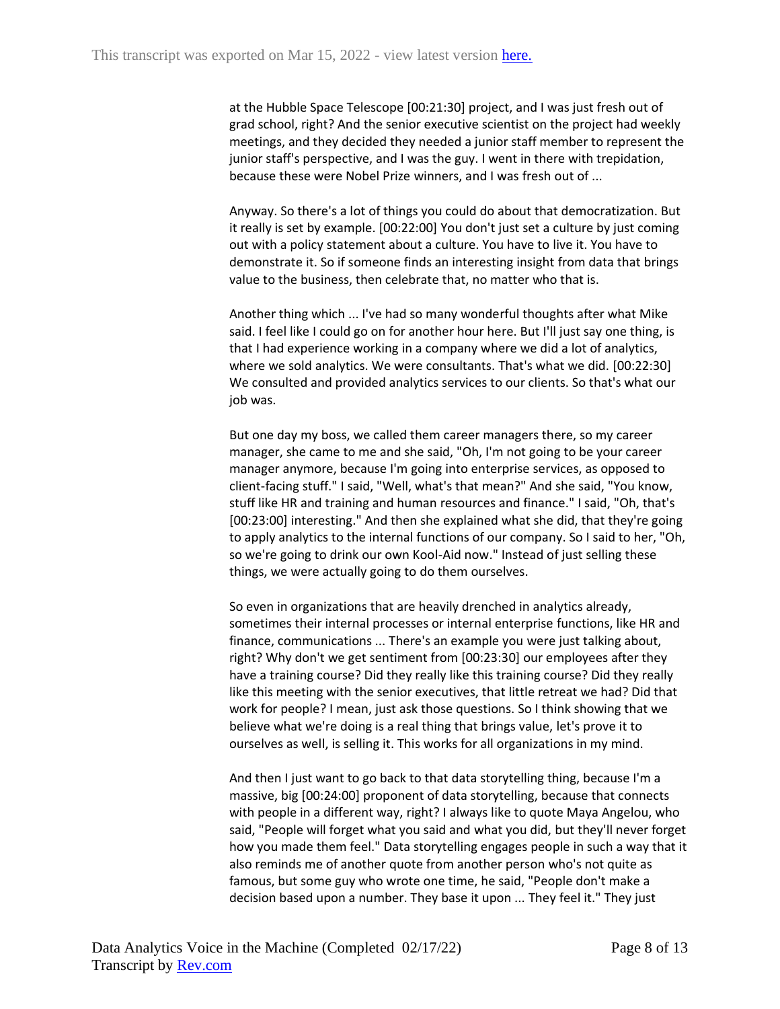at the Hubble Space Telescope [00:21:30] project, and I was just fresh out of grad school, right? And the senior executive scientist on the project had weekly meetings, and they decided they needed a junior staff member to represent the junior staff's perspective, and I was the guy. I went in there with trepidation, because these were Nobel Prize winners, and I was fresh out of ...

Anyway. So there's a lot of things you could do about that democratization. But it really is set by example. [00:22:00] You don't just set a culture by just coming out with a policy statement about a culture. You have to live it. You have to demonstrate it. So if someone finds an interesting insight from data that brings value to the business, then celebrate that, no matter who that is.

Another thing which ... I've had so many wonderful thoughts after what Mike said. I feel like I could go on for another hour here. But I'll just say one thing, is that I had experience working in a company where we did a lot of analytics, where we sold analytics. We were consultants. That's what we did. [00:22:30] We consulted and provided analytics services to our clients. So that's what our job was.

But one day my boss, we called them career managers there, so my career manager, she came to me and she said, "Oh, I'm not going to be your career manager anymore, because I'm going into enterprise services, as opposed to client-facing stuff." I said, "Well, what's that mean?" And she said, "You know, stuff like HR and training and human resources and finance." I said, "Oh, that's [00:23:00] interesting." And then she explained what she did, that they're going to apply analytics to the internal functions of our company. So I said to her, "Oh, so we're going to drink our own Kool-Aid now." Instead of just selling these things, we were actually going to do them ourselves.

So even in organizations that are heavily drenched in analytics already, sometimes their internal processes or internal enterprise functions, like HR and finance, communications ... There's an example you were just talking about, right? Why don't we get sentiment from [00:23:30] our employees after they have a training course? Did they really like this training course? Did they really like this meeting with the senior executives, that little retreat we had? Did that work for people? I mean, just ask those questions. So I think showing that we believe what we're doing is a real thing that brings value, let's prove it to ourselves as well, is selling it. This works for all organizations in my mind.

And then I just want to go back to that data storytelling thing, because I'm a massive, big [00:24:00] proponent of data storytelling, because that connects with people in a different way, right? I always like to quote Maya Angelou, who said, "People will forget what you said and what you did, but they'll never forget how you made them feel." Data storytelling engages people in such a way that it also reminds me of another quote from another person who's not quite as famous, but some guy who wrote one time, he said, "People don't make a decision based upon a number. They base it upon ... They feel it." They just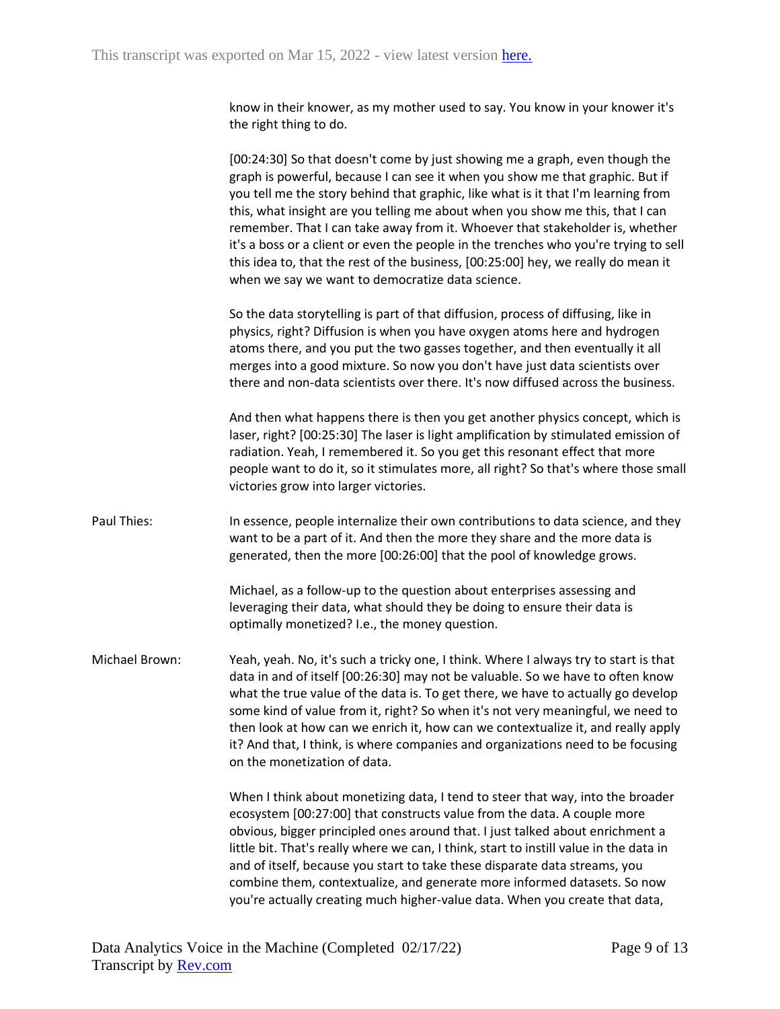know in their knower, as my mother used to say. You know in your knower it's the right thing to do.

[00:24:30] So that doesn't come by just showing me a graph, even though the graph is powerful, because I can see it when you show me that graphic. But if you tell me the story behind that graphic, like what is it that I'm learning from this, what insight are you telling me about when you show me this, that I can remember. That I can take away from it. Whoever that stakeholder is, whether it's a boss or a client or even the people in the trenches who you're trying to sell this idea to, that the rest of the business, [00:25:00] hey, we really do mean it when we say we want to democratize data science.

So the data storytelling is part of that diffusion, process of diffusing, like in physics, right? Diffusion is when you have oxygen atoms here and hydrogen atoms there, and you put the two gasses together, and then eventually it all merges into a good mixture. So now you don't have just data scientists over there and non-data scientists over there. It's now diffused across the business.

And then what happens there is then you get another physics concept, which is laser, right? [00:25:30] The laser is light amplification by stimulated emission of radiation. Yeah, I remembered it. So you get this resonant effect that more people want to do it, so it stimulates more, all right? So that's where those small victories grow into larger victories.

Paul Thies: In essence, people internalize their own contributions to data science, and they want to be a part of it. And then the more they share and the more data is generated, then the more [00:26:00] that the pool of knowledge grows.

> Michael, as a follow-up to the question about enterprises assessing and leveraging their data, what should they be doing to ensure their data is optimally monetized? I.e., the money question.

Michael Brown: Yeah, yeah. No, it's such a tricky one, I think. Where I always try to start is that data in and of itself [00:26:30] may not be valuable. So we have to often know what the true value of the data is. To get there, we have to actually go develop some kind of value from it, right? So when it's not very meaningful, we need to then look at how can we enrich it, how can we contextualize it, and really apply it? And that, I think, is where companies and organizations need to be focusing on the monetization of data.

> When I think about monetizing data, I tend to steer that way, into the broader ecosystem [00:27:00] that constructs value from the data. A couple more obvious, bigger principled ones around that. I just talked about enrichment a little bit. That's really where we can, I think, start to instill value in the data in and of itself, because you start to take these disparate data streams, you combine them, contextualize, and generate more informed datasets. So now you're actually creating much higher-value data. When you create that data,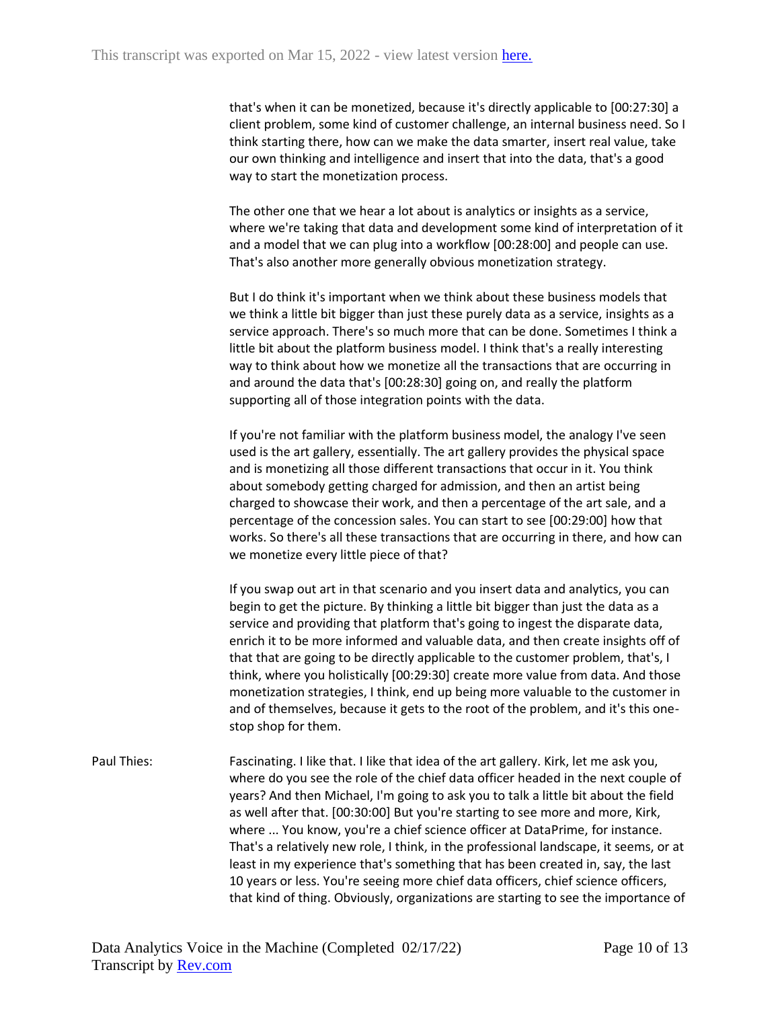that's when it can be monetized, because it's directly applicable to [00:27:30] a client problem, some kind of customer challenge, an internal business need. So I think starting there, how can we make the data smarter, insert real value, take our own thinking and intelligence and insert that into the data, that's a good way to start the monetization process.

The other one that we hear a lot about is analytics or insights as a service, where we're taking that data and development some kind of interpretation of it and a model that we can plug into a workflow [00:28:00] and people can use. That's also another more generally obvious monetization strategy.

But I do think it's important when we think about these business models that we think a little bit bigger than just these purely data as a service, insights as a service approach. There's so much more that can be done. Sometimes I think a little bit about the platform business model. I think that's a really interesting way to think about how we monetize all the transactions that are occurring in and around the data that's [00:28:30] going on, and really the platform supporting all of those integration points with the data.

If you're not familiar with the platform business model, the analogy I've seen used is the art gallery, essentially. The art gallery provides the physical space and is monetizing all those different transactions that occur in it. You think about somebody getting charged for admission, and then an artist being charged to showcase their work, and then a percentage of the art sale, and a percentage of the concession sales. You can start to see [00:29:00] how that works. So there's all these transactions that are occurring in there, and how can we monetize every little piece of that?

If you swap out art in that scenario and you insert data and analytics, you can begin to get the picture. By thinking a little bit bigger than just the data as a service and providing that platform that's going to ingest the disparate data, enrich it to be more informed and valuable data, and then create insights off of that that are going to be directly applicable to the customer problem, that's, I think, where you holistically [00:29:30] create more value from data. And those monetization strategies, I think, end up being more valuable to the customer in and of themselves, because it gets to the root of the problem, and it's this onestop shop for them.

Paul Thies: Fascinating. I like that. I like that idea of the art gallery. Kirk, let me ask you, where do you see the role of the chief data officer headed in the next couple of years? And then Michael, I'm going to ask you to talk a little bit about the field as well after that. [00:30:00] But you're starting to see more and more, Kirk, where ... You know, you're a chief science officer at DataPrime, for instance. That's a relatively new role, I think, in the professional landscape, it seems, or at least in my experience that's something that has been created in, say, the last 10 years or less. You're seeing more chief data officers, chief science officers, that kind of thing. Obviously, organizations are starting to see the importance of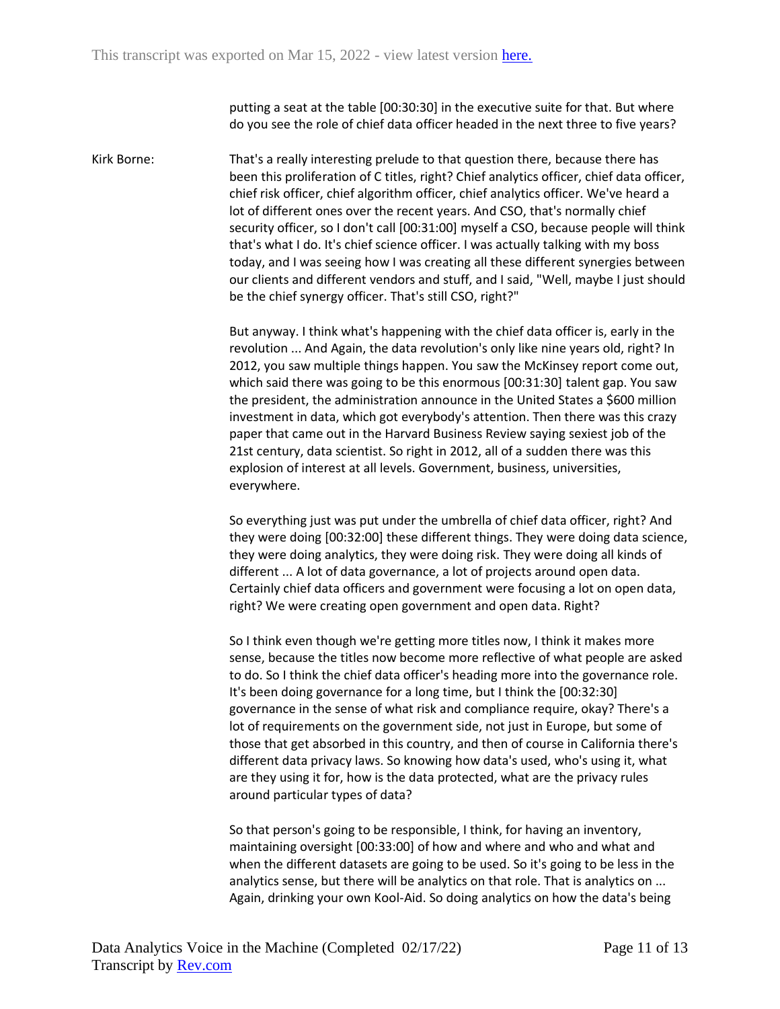putting a seat at the table [00:30:30] in the executive suite for that. But where do you see the role of chief data officer headed in the next three to five years?

Kirk Borne: That's a really interesting prelude to that question there, because there has been this proliferation of C titles, right? Chief analytics officer, chief data officer, chief risk officer, chief algorithm officer, chief analytics officer. We've heard a lot of different ones over the recent years. And CSO, that's normally chief security officer, so I don't call [00:31:00] myself a CSO, because people will think that's what I do. It's chief science officer. I was actually talking with my boss today, and I was seeing how I was creating all these different synergies between our clients and different vendors and stuff, and I said, "Well, maybe I just should be the chief synergy officer. That's still CSO, right?"

> But anyway. I think what's happening with the chief data officer is, early in the revolution ... And Again, the data revolution's only like nine years old, right? In 2012, you saw multiple things happen. You saw the McKinsey report come out, which said there was going to be this enormous [00:31:30] talent gap. You saw the president, the administration announce in the United States a \$600 million investment in data, which got everybody's attention. Then there was this crazy paper that came out in the Harvard Business Review saying sexiest job of the 21st century, data scientist. So right in 2012, all of a sudden there was this explosion of interest at all levels. Government, business, universities, everywhere.

So everything just was put under the umbrella of chief data officer, right? And they were doing [00:32:00] these different things. They were doing data science, they were doing analytics, they were doing risk. They were doing all kinds of different ... A lot of data governance, a lot of projects around open data. Certainly chief data officers and government were focusing a lot on open data, right? We were creating open government and open data. Right?

So I think even though we're getting more titles now, I think it makes more sense, because the titles now become more reflective of what people are asked to do. So I think the chief data officer's heading more into the governance role. It's been doing governance for a long time, but I think the [00:32:30] governance in the sense of what risk and compliance require, okay? There's a lot of requirements on the government side, not just in Europe, but some of those that get absorbed in this country, and then of course in California there's different data privacy laws. So knowing how data's used, who's using it, what are they using it for, how is the data protected, what are the privacy rules around particular types of data?

So that person's going to be responsible, I think, for having an inventory, maintaining oversight [00:33:00] of how and where and who and what and when the different datasets are going to be used. So it's going to be less in the analytics sense, but there will be analytics on that role. That is analytics on ... Again, drinking your own Kool-Aid. So doing analytics on how the data's being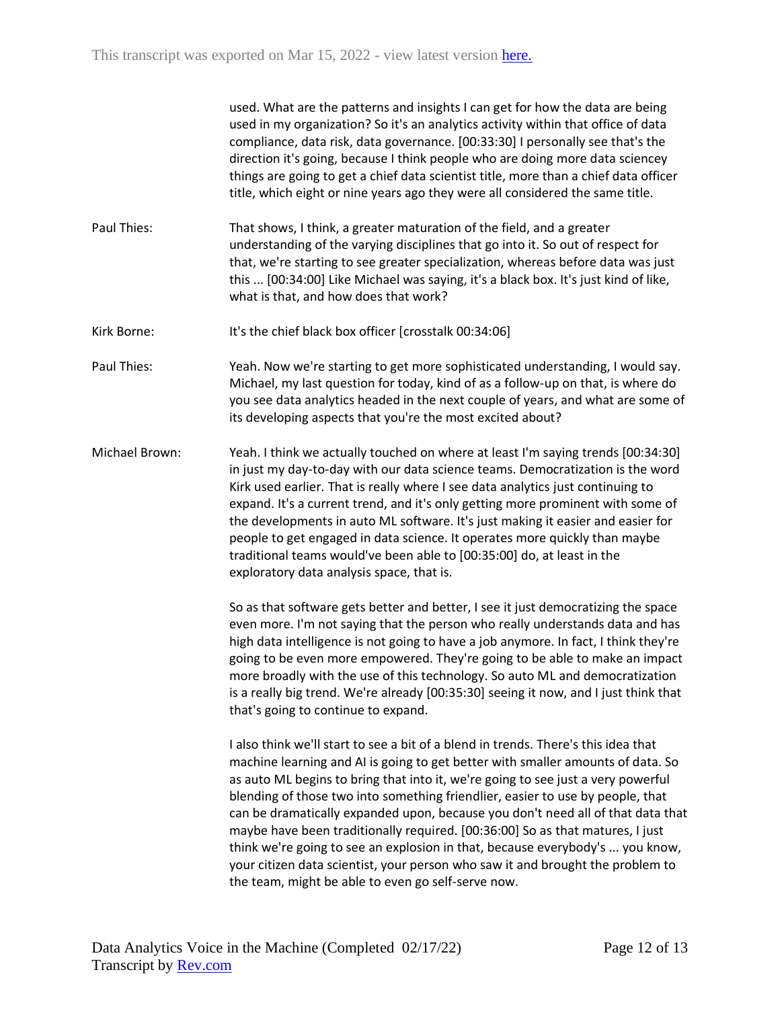used. What are the patterns and insights I can get for how the data are being used in my organization? So it's an analytics activity within that office of data compliance, data risk, data governance. [00:33:30] I personally see that's the direction it's going, because I think people who are doing more data sciencey things are going to get a chief data scientist title, more than a chief data officer title, which eight or nine years ago they were all considered the same title.

- Paul Thies: That shows, I think, a greater maturation of the field, and a greater understanding of the varying disciplines that go into it. So out of respect for that, we're starting to see greater specialization, whereas before data was just this ... [00:34:00] Like Michael was saying, it's a black box. It's just kind of like, what is that, and how does that work?
- Kirk Borne: It's the chief black box officer [crosstalk 00:34:06]
- Paul Thies: Yeah. Now we're starting to get more sophisticated understanding, I would say. Michael, my last question for today, kind of as a follow-up on that, is where do you see data analytics headed in the next couple of years, and what are some of its developing aspects that you're the most excited about?
- Michael Brown: Yeah. I think we actually touched on where at least I'm saying trends [00:34:30] in just my day-to-day with our data science teams. Democratization is the word Kirk used earlier. That is really where I see data analytics just continuing to expand. It's a current trend, and it's only getting more prominent with some of the developments in auto ML software. It's just making it easier and easier for people to get engaged in data science. It operates more quickly than maybe traditional teams would've been able to [00:35:00] do, at least in the exploratory data analysis space, that is.

So as that software gets better and better, I see it just democratizing the space even more. I'm not saying that the person who really understands data and has high data intelligence is not going to have a job anymore. In fact, I think they're going to be even more empowered. They're going to be able to make an impact more broadly with the use of this technology. So auto ML and democratization is a really big trend. We're already [00:35:30] seeing it now, and I just think that that's going to continue to expand.

I also think we'll start to see a bit of a blend in trends. There's this idea that machine learning and AI is going to get better with smaller amounts of data. So as auto ML begins to bring that into it, we're going to see just a very powerful blending of those two into something friendlier, easier to use by people, that can be dramatically expanded upon, because you don't need all of that data that maybe have been traditionally required. [00:36:00] So as that matures, I just think we're going to see an explosion in that, because everybody's ... you know, your citizen data scientist, your person who saw it and brought the problem to the team, might be able to even go self-serve now.